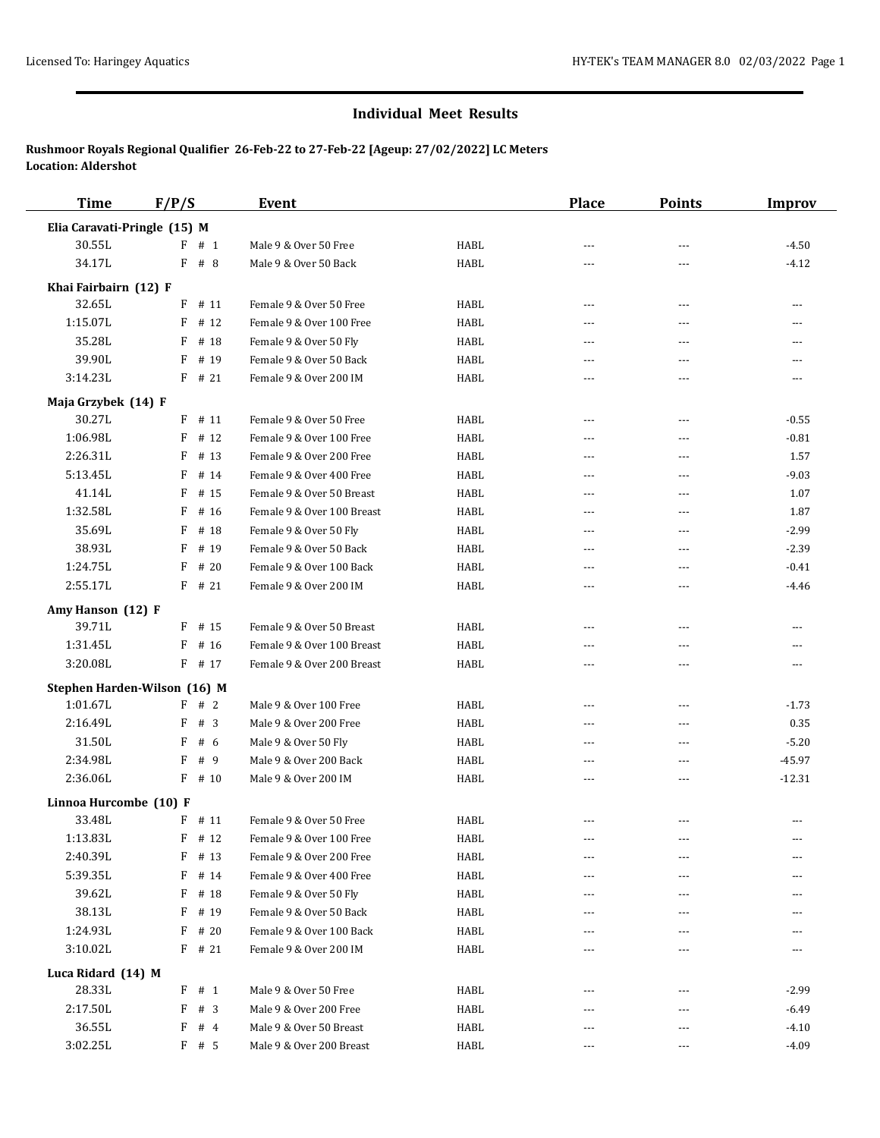## **Individual Meet Results**

**Rushmoor Royals Regional Qualifier 26-Feb-22 to 27-Feb-22 [Ageup: 27/02/2022] LC Meters Location: Aldershot**

| <b>Time</b>                  | F/P/S                        | Event                      |             | <b>Place</b>   | <b>Points</b>  | <b>Improv</b> |
|------------------------------|------------------------------|----------------------------|-------------|----------------|----------------|---------------|
| Elia Caravati-Pringle (15) M |                              |                            |             |                |                |               |
| 30.55L                       | #1<br>F                      | Male 9 & Over 50 Free      | HABL        | ---            | ---            | $-4.50$       |
| 34.17L                       | $F$ # 8                      | Male 9 & Over 50 Back      | <b>HABL</b> | $---$          | $---$          | $-4.12$       |
| Khai Fairbairn (12) F        |                              |                            |             |                |                |               |
| 32.65L                       | # 11<br>F                    | Female 9 & Over 50 Free    | HABL        | ---            | ---            | ---           |
| 1:15.07L                     | F<br># 12                    | Female 9 & Over 100 Free   | HABL        | $\overline{a}$ | $\overline{a}$ |               |
| 35.28L                       | F<br># 18                    | Female 9 & Over 50 Fly     | HABL        | $- - -$        | $\overline{a}$ | ---           |
| 39.90L                       | # 19<br>F                    | Female 9 & Over 50 Back    | <b>HABL</b> | $\overline{a}$ | ---            |               |
| 3:14.23L                     | $F$ # 21                     | Female 9 & Over 200 IM     | HABL        | ---            | ---            | ---           |
| Maja Grzybek (14) F          |                              |                            |             |                |                |               |
| 30.27L                       | $F$ # 11                     | Female 9 & Over 50 Free    | HABL        | ---            | ---            | $-0.55$       |
| 1:06.98L                     | F<br># 12                    | Female 9 & Over 100 Free   | <b>HABL</b> | $- - -$        | $\overline{a}$ | $-0.81$       |
| 2:26.31L                     | F<br># 13                    | Female 9 & Over 200 Free   | HABL        | $- - -$        | ---            | 1.57          |
| 5:13.45L                     | F<br># 14                    | Female 9 & Over 400 Free   | HABL        | ---            | ---            | $-9.03$       |
| 41.14L                       | F<br># 15                    | Female 9 & Over 50 Breast  | <b>HABL</b> | $- - -$        | $\overline{a}$ | 1.07          |
| 1:32.58L                     | F<br># 16                    | Female 9 & Over 100 Breast | HABL        | ---            | ---            | 1.87          |
| 35.69L                       | F<br># 18                    | Female 9 & Over 50 Fly     | HABL        | $---$          | $- - -$        | $-2.99$       |
| 38.93L                       | # 19<br>F                    | Female 9 & Over 50 Back    | HABL        | ---            | ---            | $-2.39$       |
| 1:24.75L                     | # 20<br>F                    | Female 9 & Over 100 Back   | HABL        | $- - -$        | $\overline{a}$ | $-0.41$       |
| 2:55.17L                     | $F$ # 21                     | Female 9 & Over 200 IM     | HABL        | ---            | ---            | $-4.46$       |
| Amy Hanson (12) F            |                              |                            |             |                |                |               |
| 39.71L                       | $F$ # 15                     | Female 9 & Over 50 Breast  | <b>HABL</b> | $\overline{a}$ | $\overline{a}$ | ---           |
| 1:31.45L                     | F<br># 16                    | Female 9 & Over 100 Breast | HABL        | $---$          | ---            | ---           |
| 3:20.08L                     | F<br># 17                    | Female 9 & Over 200 Breast | HABL        | $---$          | ---            | ---           |
|                              | Stephen Harden-Wilson (16) M |                            |             |                |                |               |
| 1:01.67L                     | F # 2                        | Male 9 & Over 100 Free     | HABL        | $---$          | $\overline{a}$ | $-1.73$       |
| 2:16.49L                     | F<br>#3                      | Male 9 & Over 200 Free     | <b>HABL</b> | ---            | $---$          | 0.35          |
| 31.50L                       | F<br># 6                     | Male 9 & Over 50 Fly       | HABL        | $---$          | $\overline{a}$ | $-5.20$       |
| 2:34.98L                     | F<br>#9                      | Male 9 & Over 200 Back     | <b>HABL</b> | ---            | $\overline{a}$ | $-45.97$      |
| 2:36.06L                     | $F$ # 10                     | Male 9 & Over 200 IM       | HABL        | ---            | $- - -$        | $-12.31$      |
| Linnoa Hurcombe (10) F       |                              |                            |             |                |                |               |
| 33.48L                       | $F$ # 11                     | Female 9 & Over 50 Free    | HABL        | $\cdots$       | ---            | ---           |
| 1:13.83L                     | F<br># 12                    | Female 9 & Over 100 Free   | HABL        | ---            | ---            | ---           |
| 2:40.39L                     | F<br># 13                    | Female 9 & Over 200 Free   | HABL        | ---            | $---$          |               |
| 5:39.35L                     | F<br># 14                    | Female 9 & Over 400 Free   | HABL        | ---            | $---$          |               |
| 39.62L                       | F<br># 18                    | Female 9 & Over 50 Fly     | HABL        | ---            | ---            |               |
| 38.13L                       | F<br># 19                    | Female 9 & Over 50 Back    | HABL        |                |                |               |
| 1:24.93L                     | F<br># 20                    | Female 9 & Over 100 Back   | HABL        |                | ---            |               |
| 3:10.02L                     | $F$ # 21                     | Female 9 & Over 200 IM     | HABL        |                |                |               |
| Luca Ridard (14) M           |                              |                            |             |                |                |               |
| 28.33L                       | $F$ # 1                      | Male 9 & Over 50 Free      | HABL        |                |                | $-2.99$       |
| 2:17.50L                     | F<br>#3                      | Male 9 & Over 200 Free     | HABL        | $---$          | $---$          | $-6.49$       |
| 36.55L                       | #4<br>F                      | Male 9 & Over 50 Breast    | HABL        | ---            | $- - -$        | $-4.10$       |
| 3:02.25L                     | $F$ # 5                      | Male 9 & Over 200 Breast   | HABL        | ---            | ---            | $-4.09$       |